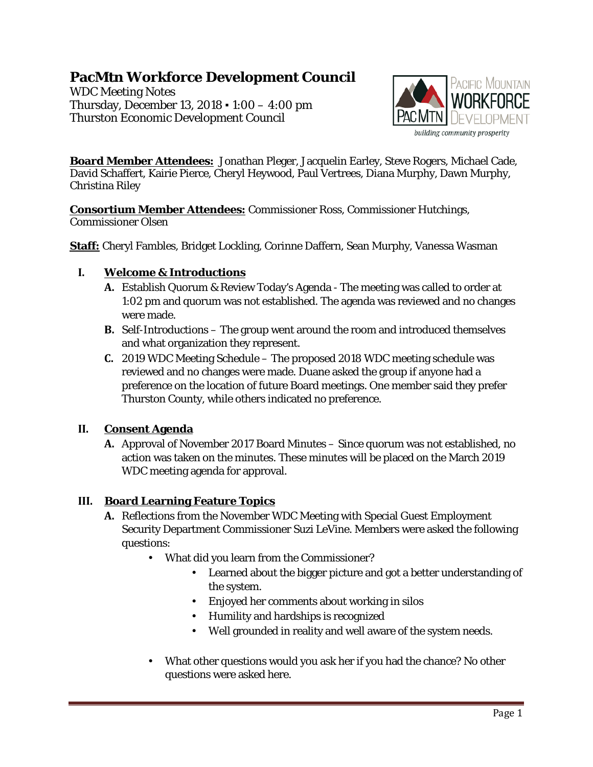# **PacMtn Workforce Development Council**

WDC Meeting Notes Thursday, December 13, 2018 ▪ 1:00 – 4:00 pm Thurston Economic Development Council



**Board Member Attendees:** Jonathan Pleger, Jacquelin Earley, Steve Rogers, Michael Cade, David Schaffert, Kairie Pierce, Cheryl Heywood, Paul Vertrees, Diana Murphy, Dawn Murphy, Christina Riley

**Consortium Member Attendees:** Commissioner Ross, Commissioner Hutchings, Commissioner Olsen

**Staff:** Cheryl Fambles, Bridget Lockling, Corinne Daffern, Sean Murphy, Vanessa Wasman

### **I. Welcome & Introductions**

- **A.** Establish Quorum & Review Today's Agenda The meeting was called to order at 1:02 pm and quorum was not established. The agenda was reviewed and no changes were made.
- **B.** Self-Introductions The group went around the room and introduced themselves and what organization they represent.
- **C.** 2019 WDC Meeting Schedule The proposed 2018 WDC meeting schedule was reviewed and no changes were made. Duane asked the group if anyone had a preference on the location of future Board meetings. One member said they prefer Thurston County, while others indicated no preference.

# **II. Consent Agenda**

**A.** Approval of November 2017 Board Minutes – Since quorum was not established, no action was taken on the minutes. These minutes will be placed on the March 2019 WDC meeting agenda for approval.

# **III. Board Learning Feature Topics**

- **A.** Reflections from the November WDC Meeting with Special Guest Employment Security Department Commissioner Suzi LeVine. Members were asked the following questions:
	- What did you learn from the Commissioner?
		- Learned about the bigger picture and got a better understanding of the system.
		- Enjoyed her comments about working in silos
		- Humility and hardships is recognized
		- Well grounded in reality and well aware of the system needs.
	- What other questions would you ask her if you had the chance? No other questions were asked here.